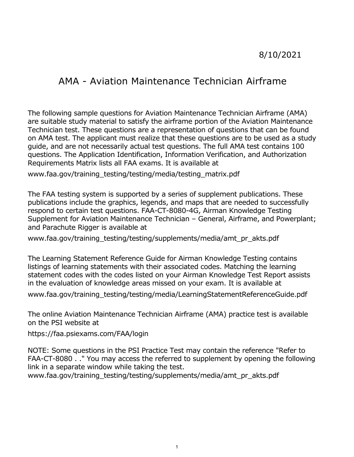# 8/10/2021

# AMA - Aviation Maintenance Technician Airframe

 are suitable study material to satisfy the airframe portion of the Aviation Maintenance on AMA test. The applicant must realize that these questions are to be used as a study The following sample questions for Aviation Maintenance Technician Airframe (AMA) Technician test. These questions are a representation of questions that can be found guide, and are not necessarily actual test questions. The full AMA test contains 100 questions. The Application Identification, Information Verification, and Authorization Requirements Matrix lists all FAA exams. It is available at

[www.faa.gov/training\\_testing/testing/media/testing\\_matrix.pdf](www.faa.gov/training_testing/testing/media/testing_matrix.pdf)

 The FAA testing system is supported by a series of supplement publications. These respond to certain test questions. FAA-CT-8080-4G, Airman Knowledge Testing publications include the graphics, legends, and maps that are needed to successfully Supplement for Aviation Maintenance Technician – General, Airframe, and Powerplant; and Parachute Rigger is available at

www.faa.gov/training testing/testing/supplements/media/amt pr akts.pdf

 The Learning Statement Reference Guide for Airman Knowledge Testing contains listings of learning statements with their associated codes. Matching the learning statement codes with the codes listed on your Airman Knowledge Test Report assists in the evaluation of knowledge areas missed on your exam. It is available at

[www.faa.gov/training\\_testing/testing/media/LearningStatementReferenceGuide.pdf](www.faa.gov/training_testing/testing/media/LearningStatementReferenceGuide.pdf)

 The online Aviation Maintenance Technician Airframe (AMA) practice test is available on the PSI website at

<https://faa.psiexams.com/FAA/login>

NOTE: Some questions in the PSI Practice Test may contain the reference "Refer to FAA-CT-8080 . ." You may access the referred to supplement by opening the following link in a separate window while taking the test.

www.faa.gov/training testing/testing/supplements/media/amt pr akts.pdf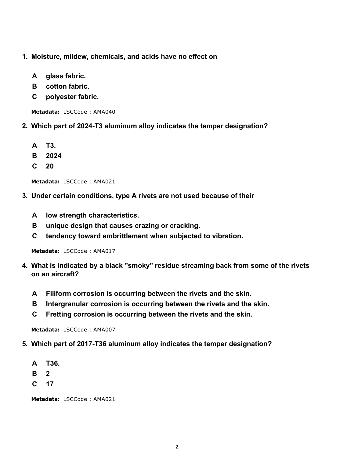- **1. Moisture, mildew, chemicals, and acids have no effect on**
	- **A glass fabric.**
	- **B cotton fabric.**
	- **C polyester fabric.**

- **2. Which part of 2024-T3 aluminum alloy indicates the temper designation?**
	- **A T3.**
	- **B 2024**
	- **C 20**

```
Metadata: LSCCode : AMA021
```
- **3. Under certain conditions, type A rivets are not used because of their**
	- **A low strength characteristics.**
	- **B unique design that causes crazing or cracking.**
	- **C tendency toward embrittlement when subjected to vibration.**

**Metadata:** LSCCode : AMA017

- **4. What is indicated by a black "smoky" residue streaming back from some of the rivets on an aircraft?**
	- **A Filiform corrosion is occurring between the rivets and the skin.**
	- **B Intergranular corrosion is occurring between the rivets and the skin.**
	- **C Fretting corrosion is occurring between the rivets and the skin.**

**Metadata:** LSCCode : AMA007

- **5. Which part of 2017-T36 aluminum alloy indicates the temper designation?**
	- **A T36.**
	- **B 2**
	- **C 17**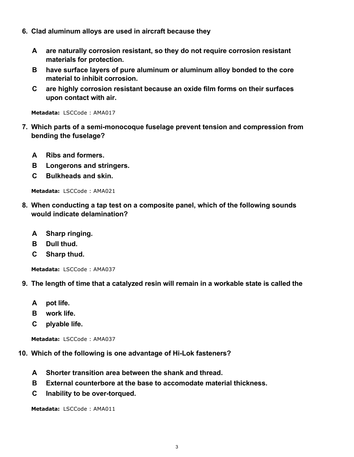- **6. Clad aluminum alloys are used in aircraft because they**
	- **A are naturally corrosion resistant, so they do not require corrosion resistant materials for protection.**
	- **B have surface layers of pure aluminum or aluminum alloy bonded to the core material to inhibit corrosion.**
	- **C are highly corrosion resistant because an oxide film forms on their surfaces upon contact with air.**

- **7. Which parts of a semi-monocoque fuselage prevent tension and compression from bending the fuselage?**
	- **A Ribs and formers.**
	- **B Longerons and stringers.**
	- **C Bulkheads and skin.**

**Metadata:** LSCCode : AMA021

- **8. When conducting a tap test on a composite panel, which of the following sounds would indicate delamination?**
	- **A Sharp ringing.**
	- **B Dull thud.**
	- **C Sharp thud.**

**Metadata:** LSCCode : AMA037

- **9. The length of time that a catalyzed resin will remain in a workable state is called the**
	- **A pot life.**
	- **B work life.**
	- **C plyable life.**

```
Metadata: LSCCode : AMA037
```
**10. Which of the following is one advantage of Hi-Lok fasteners?**

- **A Shorter transition area between the shank and thread.**
- **B External counterbore at the base to accomodate material thickness.**
- **C Inability to be over-torqued.**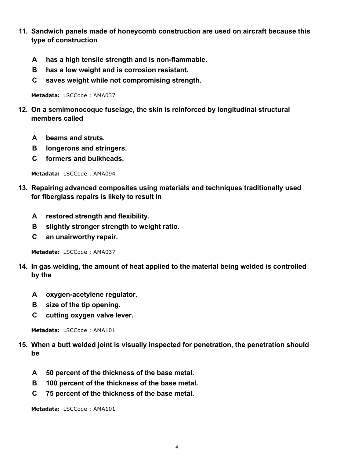- **11. Sandwich panels made of honeycomb construction are used on aircraft because this type of construction**
	- **A has a high tensile strength and is non-flammable.**
	- **B has a low weight and is corrosion resistant.**
	- **C saves weight while not compromising strength.**

- **12. On a semimonocoque fuselage, the skin is reinforced by longitudinal structural members called**
	- **A beams and struts.**
	- **B longerons and stringers.**
	- **C formers and bulkheads.**

**Metadata:** LSCCode : AMA094

- **13. Repairing advanced composites using materials and techniques traditionally used for fiberglass repairs is likely to result in**
	- **A restored strength and flexibility.**
	- **B slightly stronger strength to weight ratio.**
	- **C an unairworthy repair.**

**Metadata:** LSCCode : AMA037

- **14. In gas welding, the amount of heat applied to the material being welded is controlled by the**
	- **A oxygen-acetylene regulator.**
	- **B size of the tip opening.**
	- **C cutting oxygen valve lever.**

**Metadata:** LSCCode : AMA101

- **15. When a butt welded joint is visually inspected for penetration, the penetration should be**
	- **A 50 percent of the thickness of the base metal.**
	- **B 100 percent of the thickness of the base metal.**
	- **C 75 percent of the thickness of the base metal.**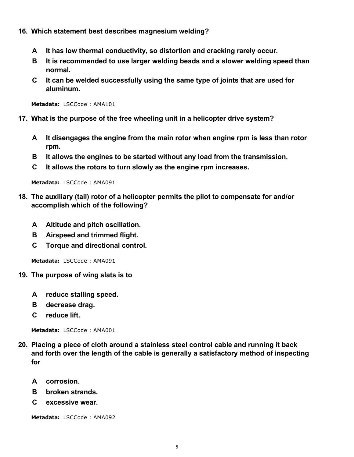- **16. Which statement best describes magnesium welding?**
	- **A It has low thermal conductivity, so distortion and cracking rarely occur.**
	- **B It is recommended to use larger welding beads and a slower welding speed than normal.**
	- **C It can be welded successfully using the same type of joints that are used for aluminum.**

- **17. What is the purpose of the free wheeling unit in a helicopter drive system?**
	- **A It disengages the engine from the main rotor when engine rpm is less than rotor rpm.**
	- **B It allows the engines to be started without any load from the transmission.**
	- **C It allows the rotors to turn slowly as the engine rpm increases.**

**Metadata:** LSCCode : AMA091

- **18. The auxiliary (tail) rotor of a helicopter permits the pilot to compensate for and/or accomplish which of the following?**
	- **A Altitude and pitch oscillation.**
	- **B Airspeed and trimmed flight.**
	- **C Torque and directional control.**

**Metadata:** LSCCode : AMA091

- **19. The purpose of wing slats is to**
	- **A reduce stalling speed.**
	- **B decrease drag.**
	- **C reduce lift.**

**Metadata:** LSCCode : AMA001

- **20. Placing a piece of cloth around a stainless steel control cable and running it back and forth over the length of the cable is generally a satisfactory method of inspecting for**
	- **A corrosion.**
	- **B broken strands.**
	- **C excessive wear.**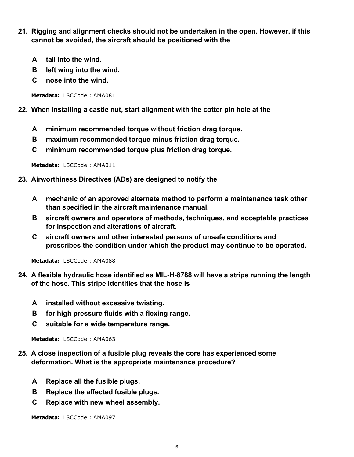- **21. Rigging and alignment checks should not be undertaken in the open. However, if this cannot be avoided, the aircraft should be positioned with the**
	- **A tail into the wind.**
	- **B left wing into the wind.**
	- **C nose into the wind.**

## **22. When installing a castle nut, start alignment with the cotter pin hole at the**

- **A minimum recommended torque without friction drag torque.**
- **B maximum recommended torque minus friction drag torque.**
- **C minimum recommended torque plus friction drag torque.**

**Metadata:** LSCCode : AMA011

- **23. Airworthiness Directives (ADs) are designed to notify the**
	- **A mechanic of an approved alternate method to perform a maintenance task other than specified in the aircraft maintenance manual.**
	- **B aircraft owners and operators of methods, techniques, and acceptable practices for inspection and alterations of aircraft.**
	- **C aircraft owners and other interested persons of unsafe conditions and prescribes the condition under which the product may continue to be operated.**

**Metadata:** LSCCode : AMA088

- **24. A flexible hydraulic hose identified as MIL-H-8788 will have a stripe running the length of the hose. This stripe identifies that the hose is**
	- **A installed without excessive twisting.**
	- **B for high pressure fluids with a flexing range.**
	- **C suitable for a wide temperature range.**

**Metadata:** LSCCode : AMA063

- **25. A close inspection of a fusible plug reveals the core has experienced some deformation. What is the appropriate maintenance procedure?**
	- **A Replace all the fusible plugs.**
	- **B Replace the affected fusible plugs.**
	- **C Replace with new wheel assembly.**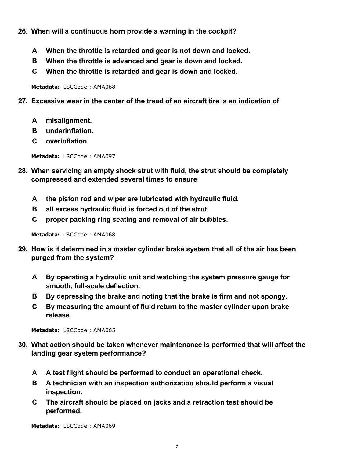- **26. When will a continuous horn provide a warning in the cockpit?**
	- **A When the throttle is retarded and gear is not down and locked.**
	- **B When the throttle is advanced and gear is down and locked.**
	- **C When the throttle is retarded and gear is down and locked.**

- **27. Excessive wear in the center of the tread of an aircraft tire is an indication of**
	- **A misalignment.**
	- **B underinflation.**
	- **C overinflation.**

**Metadata:** LSCCode : AMA097

- **28. When servicing an empty shock strut with fluid, the strut should be completely compressed and extended several times to ensure**
	- **A the piston rod and wiper are lubricated with hydraulic fluid.**
	- **B all excess hydraulic fluid is forced out of the strut.**
	- **C proper packing ring seating and removal of air bubbles.**

**Metadata:** LSCCode : AMA068

- **29. How is it determined in a master cylinder brake system that all of the air has been purged from the system?**
	- **A By operating a hydraulic unit and watching the system pressure gauge for smooth, full-scale deflection.**
	- **B By depressing the brake and noting that the brake is firm and not spongy.**
	- **C By measuring the amount of fluid return to the master cylinder upon brake release.**

**Metadata:** LSCCode : AMA065

- **30. What action should be taken whenever maintenance is performed that will affect the landing gear system performance?**
	- **A A test flight should be performed to conduct an operational check.**
	- **B A technician with an inspection authorization should perform a visual inspection.**
	- **C The aircraft should be placed on jacks and a retraction test should be performed.**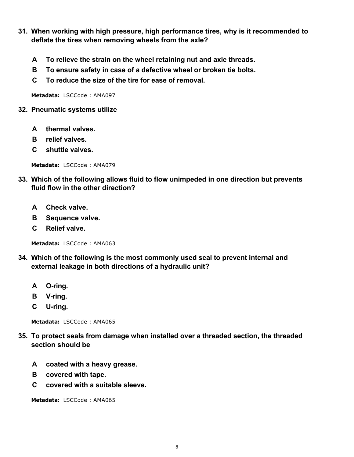- **31. When working with high pressure, high performance tires, why is it recommended to deflate the tires when removing wheels from the axle?**
	- **A To relieve the strain on the wheel retaining nut and axle threads.**
	- **B To ensure safety in case of a defective wheel or broken tie bolts.**
	- **C To reduce the size of the tire for ease of removal.**

### **32. Pneumatic systems utilize**

- **A thermal valves.**
- **B relief valves.**
- **C shuttle valves.**

**Metadata:** LSCCode : AMA079

- **33. Which of the following allows fluid to flow unimpeded in one direction but prevents fluid flow in the other direction?**
	- **A Check valve.**
	- **B Sequence valve.**
	- **C Relief valve.**

**Metadata:** LSCCode : AMA063

- **34. Which of the following is the most commonly used seal to prevent internal and external leakage in both directions of a hydraulic unit?**
	- **A O-ring.**
	- **B V-ring.**
	- **C U-ring.**

**Metadata:** LSCCode : AMA065

- **35. To protect seals from damage when installed over a threaded section, the threaded section should be**
	- **A coated with a heavy grease.**
	- **B covered with tape.**
	- **C covered with a suitable sleeve.**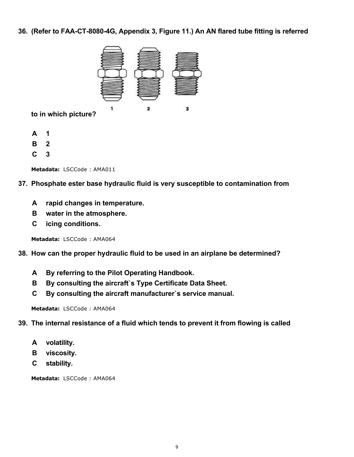**36. (Refer to FAA-CT-8080-4G, Appendix 3, Figure 11.) An AN flared tube fitting is referred**



**to in which picture?**

- **A 1**
- **B 2**
- **C 3**

**Metadata:** LSCCode : AMA011

- **37. Phosphate ester base hydraulic fluid is very susceptible to contamination from**
	- **A rapid changes in temperature.**
	- **B water in the atmosphere.**
	- **C icing conditions.**

**Metadata:** LSCCode : AMA064

# **38. How can the proper hydraulic fluid to be used in an airplane be determined?**

- **A By referring to the Pilot Operating Handbook.**
- **B By consulting the aircraft`s Type Certificate Data Sheet.**
- **C By consulting the aircraft manufacturer`s service manual.**

**Metadata:** LSCCode : AMA064

# **39. The internal resistance of a fluid which tends to prevent it from flowing is called**

- **A volatility.**
- **B viscosity.**
- **C stability.**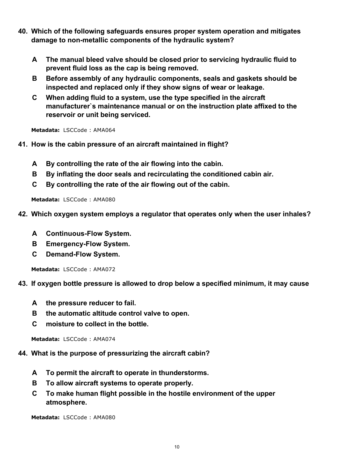- **40. Which of the following safeguards ensures proper system operation and mitigates damage to non-metallic components of the hydraulic system?**
	- **A The manual bleed valve should be closed prior to servicing hydraulic fluid to prevent fluid loss as the cap is being removed.**
	- **B Before assembly of any hydraulic components, seals and gaskets should be inspected and replaced only if they show signs of wear or leakage.**
	- **C When adding fluid to a system, use the type specified in the aircraft manufacturer`s maintenance manual or on the instruction plate affixed to the reservoir or unit being serviced.**

- **41. How is the cabin pressure of an aircraft maintained in flight?**
	- **A By controlling the rate of the air flowing into the cabin.**
	- **B By inflating the door seals and recirculating the conditioned cabin air.**
	- **C By controlling the rate of the air flowing out of the cabin.**

**Metadata:** LSCCode : AMA080

- **42. Which oxygen system employs a regulator that operates only when the user inhales?**
	- **A Continuous-Flow System.**
	- **B Emergency-Flow System.**
	- **C Demand-Flow System.**

**Metadata:** LSCCode : AMA072

#### **43. If oxygen bottle pressure is allowed to drop below a specified minimum, it may cause**

- **A the pressure reducer to fail.**
- **B the automatic altitude control valve to open.**
- **C moisture to collect in the bottle.**

**Metadata:** LSCCode : AMA074

- **44. What is the purpose of pressurizing the aircraft cabin?**
	- **A To permit the aircraft to operate in thunderstorms.**
	- **B To allow aircraft systems to operate properly.**
	- **C To make human flight possible in the hostile environment of the upper atmosphere.**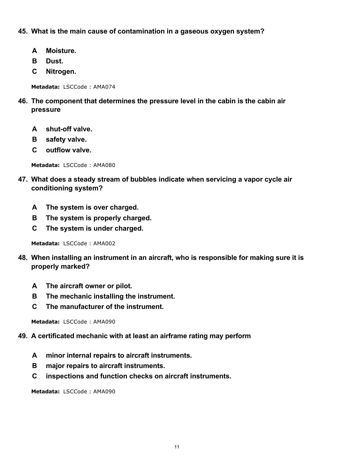## **45. What is the main cause of contamination in a gaseous oxygen system?**

- **A Moisture.**
- **B Dust.**
- **C Nitrogen.**

**Metadata:** LSCCode : AMA074

- **46. The component that determines the pressure level in the cabin is the cabin air pressure**
	- **A shut-off valve.**
	- **B safety valve.**
	- **C outflow valve.**

**Metadata:** LSCCode : AMA080

- **47. What does a steady stream of bubbles indicate when servicing a vapor cycle air conditioning system?**
	- **A The system is over charged.**
	- **B The system is properly charged.**
	- **C The system is under charged.**

**Metadata:** LSCCode : AMA002

- **48. When installing an instrument in an aircraft, who is responsible for making sure it is properly marked?**
	- **A The aircraft owner or pilot.**
	- **B The mechanic installing the instrument.**
	- **C The manufacturer of the instrument.**

**Metadata:** LSCCode : AMA090

## **49. A certificated mechanic with at least an airframe rating may perform**

- **A minor internal repairs to aircraft instruments.**
- **B major repairs to aircraft instruments.**
- **C inspections and function checks on aircraft instruments.**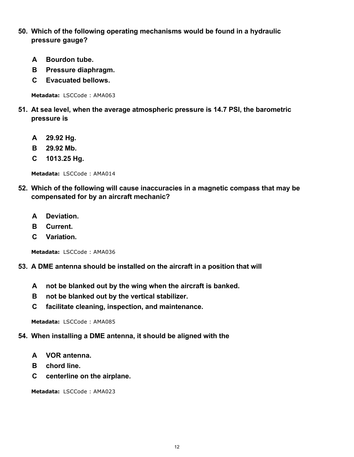- **50. Which of the following operating mechanisms would be found in a hydraulic pressure gauge?**
	- **A Bourdon tube.**
	- **B Pressure diaphragm.**
	- **C Evacuated bellows.**

- **51. At sea level, when the average atmospheric pressure is 14.7 PSI, the barometric pressure is**
	- **A 29.92 Hg.**
	- **B 29.92 Mb.**
	- **C 1013.25 Hg.**

**Metadata:** LSCCode : AMA014

- **52. Which of the following will cause inaccuracies in a magnetic compass that may be compensated for by an aircraft mechanic?**
	- **A Deviation.**
	- **B Current.**
	- **C Variation.**

**Metadata:** LSCCode : AMA036

- **53. A DME antenna should be installed on the aircraft in a position that will**
	- **A not be blanked out by the wing when the aircraft is banked.**
	- **B not be blanked out by the vertical stabilizer.**
	- **C facilitate cleaning, inspection, and maintenance.**

**Metadata:** LSCCode : AMA085

#### **54. When installing a DME antenna, it should be aligned with the**

- **A VOR antenna.**
- **B chord line.**
- **C centerline on the airplane.**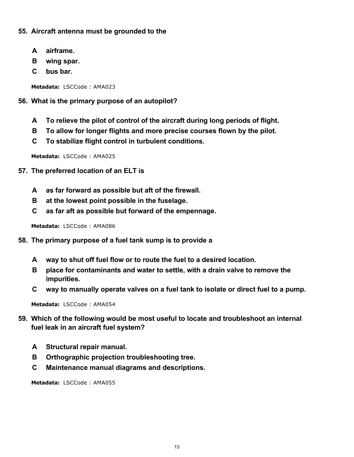## **55. Aircraft antenna must be grounded to the**

- **A airframe.**
- **B wing spar.**
- **C bus bar.**

**Metadata:** LSCCode : AMA023

## **56. What is the primary purpose of an autopilot?**

- **A To relieve the pilot of control of the aircraft during long periods of flight.**
- **B To allow for longer flights and more precise courses flown by the pilot.**
- **C To stabilize flight control in turbulent conditions.**

**Metadata:** LSCCode : AMA025

- **57. The preferred location of an ELT is**
	- **A as far forward as possible but aft of the firewall.**
	- **B at the lowest point possible in the fuselage.**
	- **C as far aft as possible but forward of the empennage.**

**Metadata:** LSCCode : AMA086

- **58. The primary purpose of a fuel tank sump is to provide a**
	- **A way to shut off fuel flow or to route the fuel to a desired location.**
	- **B place for contaminants and water to settle, with a drain valve to remove the impurities.**
	- **C way to manually operate valves on a fuel tank to isolate or direct fuel to a pump.**

**Metadata:** LSCCode : AMA054

- **59. Which of the following would be most useful to locate and troubleshoot an internal fuel leak in an aircraft fuel system?**
	- **A Structural repair manual.**
	- **B Orthographic projection troubleshooting tree.**
	- **C Maintenance manual diagrams and descriptions.**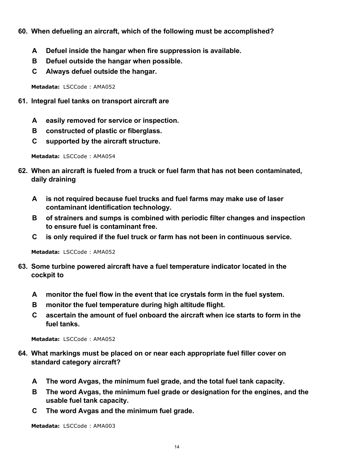- **60. When defueling an aircraft, which of the following must be accomplished?**
	- **A Defuel inside the hangar when fire suppression is available.**
	- **B Defuel outside the hangar when possible.**
	- **C Always defuel outside the hangar.**

- **61. Integral fuel tanks on transport aircraft are**
	- **A easily removed for service or inspection.**
	- **B constructed of plastic or fiberglass.**
	- **C supported by the aircraft structure.**

**Metadata:** LSCCode : AMA054

- **62. When an aircraft is fueled from a truck or fuel farm that has not been contaminated, daily draining**
	- **A is not required because fuel trucks and fuel farms may make use of laser contaminant identification technology.**
	- **B of strainers and sumps is combined with periodic filter changes and inspection to ensure fuel is contaminant free.**
	- **C is only required if the fuel truck or farm has not been in continuous service.**

**Metadata:** LSCCode : AMA052

- **63. Some turbine powered aircraft have a fuel temperature indicator located in the cockpit to**
	- **A monitor the fuel flow in the event that ice crystals form in the fuel system.**
	- **B monitor the fuel temperature during high altitude flight.**
	- **C ascertain the amount of fuel onboard the aircraft when ice starts to form in the fuel tanks.**

**Metadata:** LSCCode : AMA052

- **64. What markings must be placed on or near each appropriate fuel filler cover on standard category aircraft?**
	- **A The word Avgas, the minimum fuel grade, and the total fuel tank capacity.**
	- **B The word Avgas, the minimum fuel grade or designation for the engines, and the usable fuel tank capacity.**
	- **C The word Avgas and the minimum fuel grade.**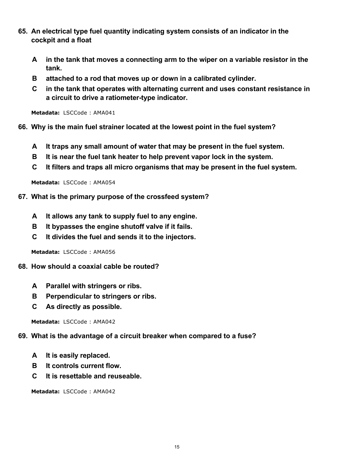- **65. An electrical type fuel quantity indicating system consists of an indicator in the cockpit and a float**
	- **A in the tank that moves a connecting arm to the wiper on a variable resistor in the tank.**
	- **B attached to a rod that moves up or down in a calibrated cylinder.**
	- **C in the tank that operates with alternating current and uses constant resistance in a circuit to drive a ratiometer-type indicator.**

**66. Why is the main fuel strainer located at the lowest point in the fuel system?**

- **A It traps any small amount of water that may be present in the fuel system.**
- **B It is near the fuel tank heater to help prevent vapor lock in the system.**
- **C It filters and traps all micro organisms that may be present in the fuel system.**

**Metadata:** LSCCode : AMA054

- **67. What is the primary purpose of the crossfeed system?**
	- **A It allows any tank to supply fuel to any engine.**
	- **B It bypasses the engine shutoff valve if it fails.**
	- **C It divides the fuel and sends it to the injectors.**

**Metadata:** LSCCode : AMA056

- **68. How should a coaxial cable be routed?**
	- **A Parallel with stringers or ribs.**
	- **B Perpendicular to stringers or ribs.**
	- **C As directly as possible.**

**Metadata:** LSCCode : AMA042

#### **69. What is the advantage of a circuit breaker when compared to a fuse?**

- **A It is easily replaced.**
- **B It controls current flow.**
- **C It is resettable and reuseable.**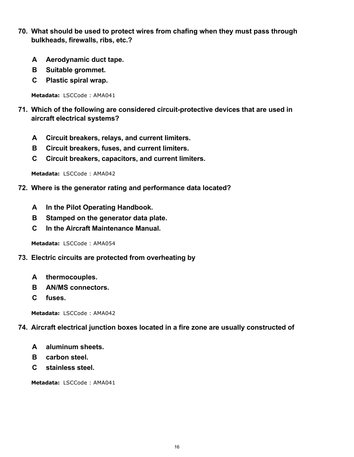- **70. What should be used to protect wires from chafing when they must pass through bulkheads, firewalls, ribs, etc.?**
	- **A Aerodynamic duct tape.**
	- **B Suitable grommet.**
	- **C Plastic spiral wrap.**

- **71. Which of the following are considered circuit-protective devices that are used in aircraft electrical systems?**
	- **A Circuit breakers, relays, and current limiters.**
	- **B Circuit breakers, fuses, and current limiters.**
	- **C Circuit breakers, capacitors, and current limiters.**

**Metadata:** LSCCode : AMA042

- **72. Where is the generator rating and performance data located?**
	- **A In the Pilot Operating Handbook.**
	- **B Stamped on the generator data plate.**
	- **C In the Aircraft Maintenance Manual.**

**Metadata:** LSCCode : AMA054

- **73. Electric circuits are protected from overheating by**
	- **A thermocouples.**
	- **B AN/MS connectors.**
	- **C fuses.**

**Metadata:** LSCCode : AMA042

#### **74. Aircraft electrical junction boxes located in a fire zone are usually constructed of**

- **A aluminum sheets.**
- **B carbon steel.**
- **C stainless steel.**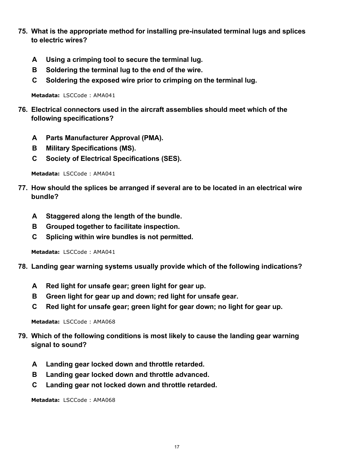- **75. What is the appropriate method for installing pre-insulated terminal lugs and splices to electric wires?**
	- **A Using a crimping tool to secure the terminal lug.**
	- **B Soldering the terminal lug to the end of the wire.**
	- **C Soldering the exposed wire prior to crimping on the terminal lug.**

- **76. Electrical connectors used in the aircraft assemblies should meet which of the following specifications?**
	- **A Parts Manufacturer Approval (PMA).**
	- **B Military Specifications (MS).**
	- **C Society of Electrical Specifications (SES).**

**Metadata:** LSCCode : AMA041

- **77. How should the splices be arranged if several are to be located in an electrical wire bundle?**
	- **A Staggered along the length of the bundle.**
	- **B Grouped together to facilitate inspection.**
	- **C Splicing within wire bundles is not permitted.**

**Metadata:** LSCCode : AMA041

- **78. Landing gear warning systems usually provide which of the following indications?**
	- **A Red light for unsafe gear; green light for gear up.**
	- **B Green light for gear up and down; red light for unsafe gear.**
	- **C Red light for unsafe gear; green light for gear down; no light for gear up.**

**Metadata:** LSCCode : AMA068

- **79. Which of the following conditions is most likely to cause the landing gear warning signal to sound?**
	- **A Landing gear locked down and throttle retarded.**
	- **B Landing gear locked down and throttle advanced.**
	- **C Landing gear not locked down and throttle retarded.**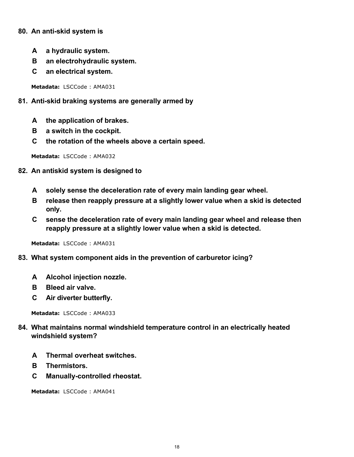## **80. An anti-skid system is**

- **A a hydraulic system.**
- **B an electrohydraulic system.**
- **C an electrical system.**

**Metadata:** LSCCode : AMA031

## **81. Anti-skid braking systems are generally armed by**

- **A the application of brakes.**
- **B a switch in the cockpit.**
- **C the rotation of the wheels above a certain speed.**

**Metadata:** LSCCode : AMA032

- **82. An antiskid system is designed to**
	- **A solely sense the deceleration rate of every main landing gear wheel.**
	- **B release then reapply pressure at a slightly lower value when a skid is detected only.**
	- **C sense the deceleration rate of every main landing gear wheel and release then reapply pressure at a slightly lower value when a skid is detected.**

**Metadata:** LSCCode : AMA031

- **83. What system component aids in the prevention of carburetor icing?**
	- **A Alcohol injection nozzle.**
	- **B Bleed air valve.**
	- **C Air diverter butterfly.**

**Metadata:** LSCCode : AMA033

- **84. What maintains normal windshield temperature control in an electrically heated windshield system?**
	- **A Thermal overheat switches.**
	- **B Thermistors.**
	- **C Manually-controlled rheostat.**